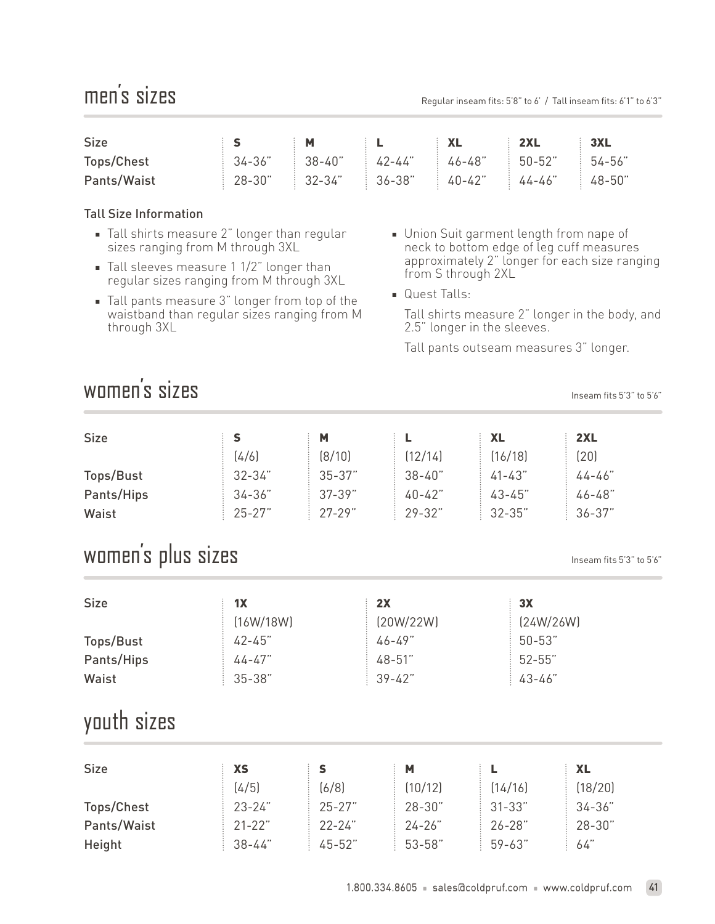| <b>Size</b> |             |             |              |            | 2XL 2                | 3XL            |
|-------------|-------------|-------------|--------------|------------|----------------------|----------------|
| Tops/Chest  | $34 - 36$ " | $38 - 40"$  | $\pm$ 42-44" | $46 - 48$  | $\frac{1}{2}$ 50-52" | $\pm$ 54-56"   |
| Pants/Waist | $28 - 30"$  | $32 - 34$ " | $36-38"$     | : $40-42"$ | $44 - 46$ "          | $\pm 48 - 50"$ |

### Tall Size Information

- · Tall shirts measure 2" longer than regular sizes ranging from M through 3XL
- · Tall sleeves measure 1 1/2" longer than regular sizes ranging from M through 3XL
- · Tall pants measure 3" longer from top of the waistband than regular sizes ranging from M through 3XL

### · Union Suit garment length from nape of neck to bottom edge of leg cuff measures approximately 2" longer for each size ranging from S through 2XL

· Quest Talls:

 Tall shirts measure 2" longer in the body, and 2.5" longer in the sleeves.

Tall pants outseam measures 3" longer.

# women's sizes Inseam fits 5'3" to 5'6"

| <b>Size</b> |            | M          |            | <b>XL</b>  | 2XL        |
|-------------|------------|------------|------------|------------|------------|
|             | (4/6)      | (8/10)     | (12/14)    | (16/18)    | (20)       |
| Tops/Bust   | $32 - 34"$ | $35 - 37"$ | $38 - 40"$ | $41 - 43"$ | $44 - 46"$ |
| Pants/Hips  | $34 - 36"$ | $37 - 39"$ | $40 - 42"$ | 43-45"     | 46-48"     |
| Waist       | $25 - 27"$ | $27 - 29"$ | $29 - 32"$ | $32 - 35"$ | $36 - 37"$ |

# $W\Box\text{men's plus sizes}$  Inseam fits 5'3" to 5'6"

| <b>Size</b> | 1X         | 2X         | 3X         |
|-------------|------------|------------|------------|
|             | (16W/18W)  | (20W/22W)  | [24W/26W]  |
| Tops/Bust   | 42-45"     | $46 - 49"$ | $50 - 53"$ |
| Pants/Hips  | $44 - 47"$ | 48-51"     | $52 - 55"$ |
| Waist       | $35 - 38"$ | $39 - 42"$ | 43-46"     |

## youth sizes

| <b>Size</b> | <b>XS</b>  |            | м          |            | XL         |
|-------------|------------|------------|------------|------------|------------|
|             | (4/5)      | (6/8)      | (10/12)    | (14/16)    | (18/20)    |
| Tops/Chest  | $23 - 24"$ | $25 - 27"$ | $28 - 30"$ | $31 - 33"$ | $34 - 36"$ |
| Pants/Waist | $21 - 22"$ | $22 - 24"$ | $24 - 26"$ | $26 - 28"$ | 28-30"     |
| Height      | $38 - 44"$ | 45-52"     | 53-58"     | $59 - 63"$ | 64"        |